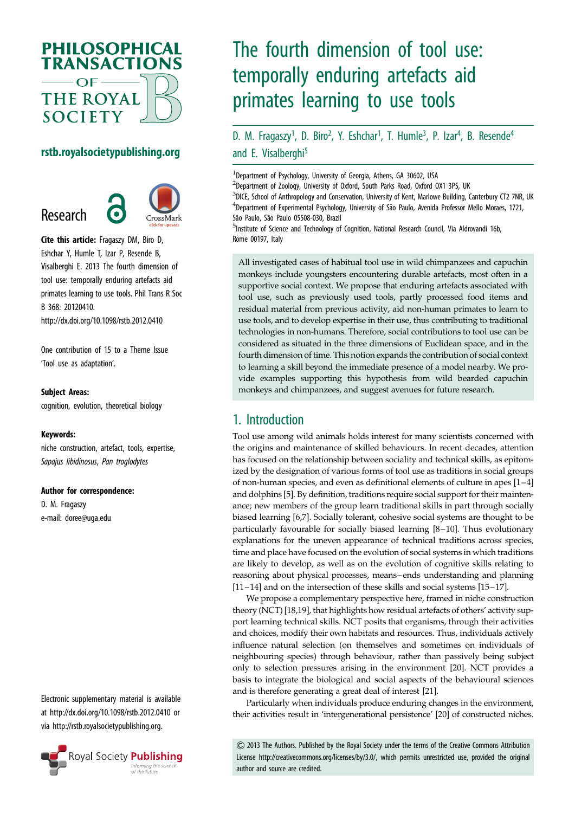

# rstb.royalsocietypublishing.org





Cite this article: Fragaszy DM, Biro D, Eshchar Y, Humle T, Izar P, Resende B, Visalberghi E. 2013 The fourth dimension of tool use: temporally enduring artefacts aid primates learning to use tools. Phil Trans R Soc B 368: 20120410. http://dx.doi.org/10.1098/rstb.2012.0410

One contribution of 15 to a Theme Issue 'Tool use as adaptation'.

#### Subject Areas:

cognition, evolution, theoretical biology

#### Keywords:

niche construction, artefact, tools, expertise, Sapajus libidinosus, Pan troglodytes

#### Author for correspondence:

D. M. Fragaszy e-mail: [doree@uga.edu](mailto:doree@uga.edu)

Electronic supplementary material is available at<http://dx.doi.org/10.1098/rstb.2012.0410> or via [http://rstb.royalsocietypublishing.org.](http://rstb.royalsocietypublishing.org)



# The fourth dimension of tool use: temporally enduring artefacts aid primates learning to use tools

D. M. Fragaszy<sup>1</sup>, D. Biro<sup>2</sup>, Y. Eshchar<sup>1</sup>, T. Humle<sup>3</sup>, P. Izar<sup>4</sup>, B. Resende<sup>4</sup> and E. Visalberghi<sup>5</sup>

<sup>1</sup>Department of Psychology, University of Georgia, Athens, GA 30602, USA

<sup>2</sup>Department of Zoology, University of Oxford, South Parks Road, Oxford OX1 3PS, UK

 ${}^{3}$ DICE, School of Anthropology and Conservation, University of Kent, Marlowe Building, Canterbury CT2 7NR, UK <sup>4</sup>Department of Experimental Psychology, University of São Paulo, Avenida Professor Mello Moraes, 1721, São Paulo, São Paulo 05508-030, Brazil

<sup>5</sup>Institute of Science and Technology of Cognition, National Research Council, Via Aldrovandi 16b, Rome 00197, Italy

All investigated cases of habitual tool use in wild chimpanzees and capuchin monkeys include youngsters encountering durable artefacts, most often in a supportive social context. We propose that enduring artefacts associated with tool use, such as previously used tools, partly processed food items and residual material from previous activity, aid non-human primates to learn to use tools, and to develop expertise in their use, thus contributing to traditional technologies in non-humans. Therefore, social contributions to tool use can be considered as situated in the three dimensions of Euclidean space, and in the fourth dimension of time. This notion expands the contribution of social context to learning a skill beyond the immediate presence of a model nearby. We provide examples supporting this hypothesis from wild bearded capuchin monkeys and chimpanzees, and suggest avenues for future research.

# 1. Introduction

Tool use among wild animals holds interest for many scientists concerned with the origins and maintenance of skilled behaviours. In recent decades, attention has focused on the relationship between sociality and technical skills, as epitomized by the designation of various forms of tool use as traditions in social groups of non-human species, and even as definitional elements of culture in apes [[1](#page-7-0)–[4\]](#page-7-0) and dolphins [[5](#page-7-0)]. By definition, traditions require social support for their maintenance; new members of the group learn traditional skills in part through socially biased learning [\[6,7](#page-7-0)]. Socially tolerant, cohesive social systems are thought to be particularly favourable for socially biased learning [\[8](#page-7-0)–[10\]](#page-8-0). Thus evolutionary explanations for the uneven appearance of technical traditions across species, time and place have focused on the evolution of social systems in which traditions are likely to develop, as well as on the evolution of cognitive skills relating to reasoning about physical processes, means–ends understanding and planning [[11](#page-8-0)–[14\]](#page-8-0) and on the intersection of these skills and social systems [\[15](#page-8-0)–[17](#page-8-0)].

We propose a complementary perspective here, framed in niche construction theory (NCT) [\[18,19](#page-8-0)], that highlights how residual artefacts of others' activity support learning technical skills. NCT posits that organisms, through their activities and choices, modify their own habitats and resources. Thus, individuals actively influence natural selection (on themselves and sometimes on individuals of neighbouring species) through behaviour, rather than passively being subject only to selection pressures arising in the environment [[20\]](#page-8-0). NCT provides a basis to integrate the biological and social aspects of the behavioural sciences and is therefore generating a great deal of interest [\[21](#page-8-0)].

Particularly when individuals produce enduring changes in the environment, their activities result in 'intergenerational persistence' [[20\]](#page-8-0) of constructed niches.

& 2013 The Authors. Published by the Royal Society under the terms of the Creative Commons Attribution License http://creativecommons.org/licenses/by/3.0/, which permits unrestricted use, provided the original author and source are credited.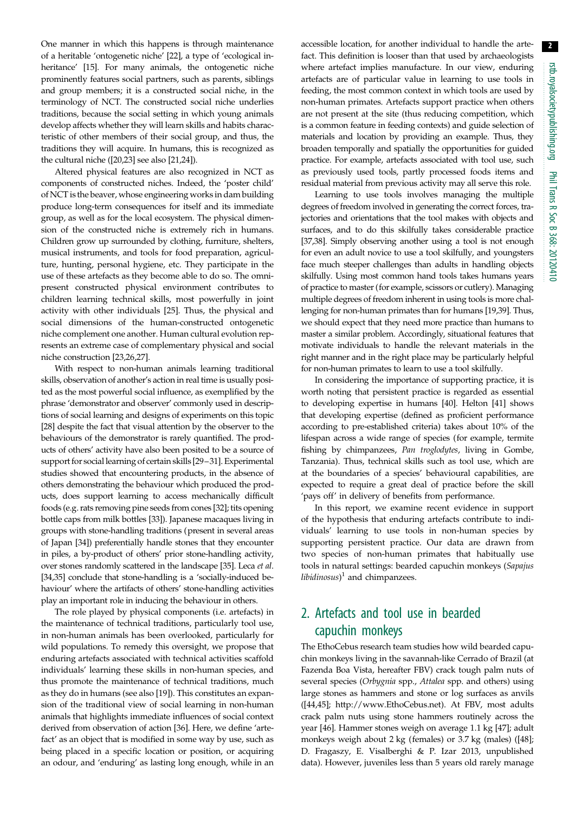One manner in which this happens is through maintenance of a heritable 'ontogenetic niche' [[22](#page-8-0)], a type of 'ecological inheritance' [\[15\]](#page-8-0). For many animals, the ontogenetic niche prominently features social partners, such as parents, siblings and group members; it is a constructed social niche, in the terminology of NCT. The constructed social niche underlies traditions, because the social setting in which young animals develop affects whether they will learn skills and habits characteristic of other members of their social group, and thus, the traditions they will acquire. In humans, this is recognized as the cultural niche ([\[20,23](#page-8-0)] see also [\[21,24\]](#page-8-0)).

Altered physical features are also recognized in NCT as components of constructed niches. Indeed, the 'poster child' of NCT is the beaver, whose engineering works in dam building produce long-term consequences for itself and its immediate group, as well as for the local ecosystem. The physical dimension of the constructed niche is extremely rich in humans. Children grow up surrounded by clothing, furniture, shelters, musical instruments, and tools for food preparation, agriculture, hunting, personal hygiene, etc. They participate in the use of these artefacts as they become able to do so. The omnipresent constructed physical environment contributes to children learning technical skills, most powerfully in joint activity with other individuals [[25\]](#page-8-0). Thus, the physical and social dimensions of the human-constructed ontogenetic niche complement one another. Human cultural evolution represents an extreme case of complementary physical and social niche construction [\[23,26,27](#page-8-0)].

With respect to non-human animals learning traditional skills, observation of another's action in real time is usually posited as the most powerful social influence, as exemplified by the phrase 'demonstrator and observer' commonly used in descriptions of social learning and designs of experiments on this topic [\[28](#page-8-0)] despite the fact that visual attention by the observer to the behaviours of the demonstrator is rarely quantified. The products of others' activity have also been posited to be a source of support for social learning of certain skills [\[29](#page-8-0)–[31\]](#page-8-0). Experimental studies showed that encountering products, in the absence of others demonstrating the behaviour which produced the products, does support learning to access mechanically difficult foods (e.g. rats removing pine seeds from cones [\[32](#page-8-0)]; tits opening bottle caps from milk bottles [[33](#page-8-0)]). Japanese macaques living in groups with stone-handling traditions (present in several areas of Japan [[34\]](#page-8-0)) preferentially handle stones that they encounter in piles, a by-product of others' prior stone-handling activity, over stones randomly scattered in the landscape [[35](#page-8-0)]. Leca et al. [\[34,35\]](#page-8-0) conclude that stone-handling is a 'socially-induced behaviour' where the artifacts of others' stone-handling activities play an important role in inducing the behaviour in others.

The role played by physical components (i.e. artefacts) in the maintenance of technical traditions, particularly tool use, in non-human animals has been overlooked, particularly for wild populations. To remedy this oversight, we propose that enduring artefacts associated with technical activities scaffold individuals' learning these skills in non-human species, and thus promote the maintenance of technical traditions, much as they do in humans (see also [\[19](#page-8-0)]). This constitutes an expansion of the traditional view of social learning in non-human animals that highlights immediate influences of social context derived from observation of action [[36\]](#page-8-0). Here, we define 'artefact' as an object that is modified in some way by use, such as being placed in a specific location or position, or acquiring an odour, and 'enduring' as lasting long enough, while in an

accessible location, for another individual to handle the artefact. This definition is looser than that used by archaeologists where artefact implies manufacture. In our view, enduring artefacts are of particular value in learning to use tools in feeding, the most common context in which tools are used by non-human primates. Artefacts support practice when others are not present at the site (thus reducing competition, which is a common feature in feeding contexts) and guide selection of materials and location by providing an example. Thus, they broaden temporally and spatially the opportunities for guided practice. For example, artefacts associated with tool use, such as previously used tools, partly processed foods items and residual material from previous activity may all serve this role.

Learning to use tools involves managing the multiple degrees of freedom involved in generating the correct forces, trajectories and orientations that the tool makes with objects and surfaces, and to do this skilfully takes considerable practice [[37,38\]](#page-8-0). Simply observing another using a tool is not enough for even an adult novice to use a tool skilfully, and youngsters face much steeper challenges than adults in handling objects skilfully. Using most common hand tools takes humans years of practice to master (for example, scissors or cutlery). Managing multiple degrees of freedom inherent in using tools is more challenging for non-human primates than for humans [\[19,39](#page-8-0)]. Thus, we should expect that they need more practice than humans to master a similar problem. Accordingly, situational features that motivate individuals to handle the relevant materials in the right manner and in the right place may be particularly helpful for non-human primates to learn to use a tool skilfully.

In considering the importance of supporting practice, it is worth noting that persistent practice is regarded as essential to developing expertise in humans [\[40](#page-8-0)]. Helton [\[41](#page-8-0)] shows that developing expertise (defined as proficient performance according to pre-established criteria) takes about 10% of the lifespan across a wide range of species (for example, termite fishing by chimpanzees, Pan troglodytes, living in Gombe, Tanzania). Thus, technical skills such as tool use, which are at the boundaries of a species' behavioural capabilities, are expected to require a great deal of practice before the skill 'pays off' in delivery of benefits from performance.

In this report, we examine recent evidence in support of the hypothesis that enduring artefacts contribute to individuals' learning to use tools in non-human species by supporting persistent practice. Our data are drawn from two species of non-human primates that habitually use tools in natural settings: bearded capuchin monkeys (Sapajus  $libidinosus)^1$  and chimpanzees.

# 2. Artefacts and tool use in bearded capuchin monkeys

The EthoCebus research team studies how wild bearded capuchin monkeys living in the savannah-like Cerrado of Brazil (at Fazenda Boa Vista, hereafter FBV) crack tough palm nuts of several species (Orbygnia spp., Attalea spp. and others) using large stones as hammers and stone or log surfaces as anvils ([[44](#page-8-0),[45\]](#page-8-0); [http://www.EthoCebus.net\)](http://www.EthoCebus.net). At FBV, most adults crack palm nuts using stone hammers routinely across the year [\[46](#page-8-0)]. Hammer stones weigh on average 1.1 kg [[47\]](#page-8-0); adult monkeys weigh about 2 kg (females) or 3.7 kg (males) ([[48\]](#page-8-0); D. Fragaszy, E. Visalberghi & P. Izar 2013, unpublished data). However, juveniles less than 5 years old rarely manage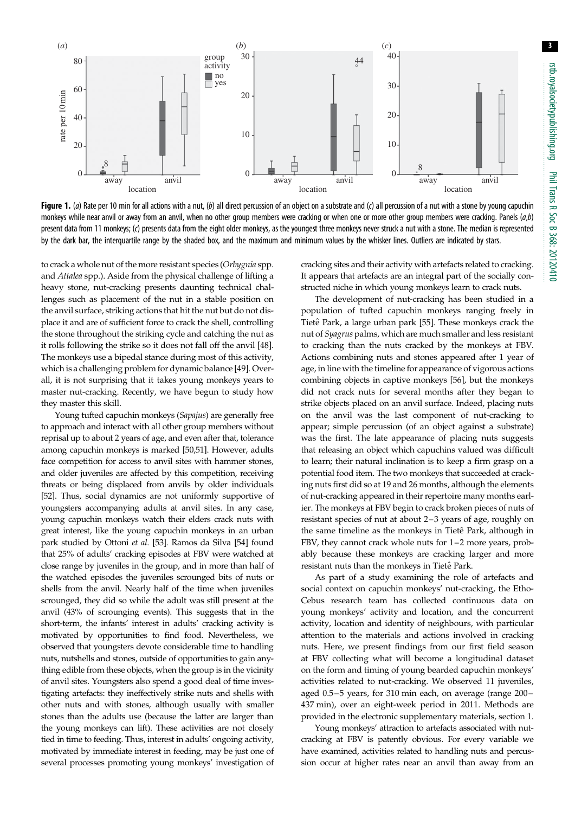<span id="page-2-0"></span>

Figure 1. (a) Rate per 10 min for all actions with a nut, (b) all direct percussion of an object on a substrate and (c) all percussion of a nut with a stone by young capuchin monkeys while near anvil or away from an anvil, when no other group members were cracking or when one or more other group members were cracking. Panels  $(a,b)$ present data from 11 monkeys; (c) presents data from the eight older monkeys, as the youngest three monkeys never struck a nut with a stone. The median is represented by the dark bar, the interquartile range by the shaded box, and the maximum and minimum values by the whisker lines. Outliers are indicated by stars.

to crack a whole nut of the more resistant species (Orbygnia spp. and Attalea spp.). Aside from the physical challenge of lifting a heavy stone, nut-cracking presents daunting technical challenges such as placement of the nut in a stable position on the anvil surface, striking actions that hit the nut but do not displace it and are of sufficient force to crack the shell, controlling the stone throughout the striking cycle and catching the nut as it rolls following the strike so it does not fall off the anvil [\[48](#page-8-0)]. The monkeys use a bipedal stance during most of this activity, which is a challenging problem for dynamic balance [[49](#page-8-0)]. Overall, it is not surprising that it takes young monkeys years to master nut-cracking. Recently, we have begun to study how they master this skill.

Young tufted capuchin monkeys (Sapajus) are generally free to approach and interact with all other group members without reprisal up to about 2 years of age, and even after that, tolerance among capuchin monkeys is marked [[50,51](#page-8-0)]. However, adults face competition for access to anvil sites with hammer stones, and older juveniles are affected by this competition, receiving threats or being displaced from anvils by older individuals [\[52](#page-8-0)]. Thus, social dynamics are not uniformly supportive of youngsters accompanying adults at anvil sites. In any case, young capuchin monkeys watch their elders crack nuts with great interest, like the young capuchin monkeys in an urban park studied by Ottoni et al. [[53](#page-8-0)]. Ramos da Silva [\[54](#page-8-0)] found that 25% of adults' cracking episodes at FBV were watched at close range by juveniles in the group, and in more than half of the watched episodes the juveniles scrounged bits of nuts or shells from the anvil. Nearly half of the time when juveniles scrounged, they did so while the adult was still present at the anvil (43% of scrounging events). This suggests that in the short-term, the infants' interest in adults' cracking activity is motivated by opportunities to find food. Nevertheless, we observed that youngsters devote considerable time to handling nuts, nutshells and stones, outside of opportunities to gain anything edible from these objects, when the group is in the vicinity of anvil sites. Youngsters also spend a good deal of time investigating artefacts: they ineffectively strike nuts and shells with other nuts and with stones, although usually with smaller stones than the adults use (because the latter are larger than the young monkeys can lift). These activities are not closely tied in time to feeding. Thus, interest in adults' ongoing activity, motivated by immediate interest in feeding, may be just one of several processes promoting young monkeys' investigation of cracking sites and their activity with artefacts related to cracking. It appears that artefacts are an integral part of the socially constructed niche in which young monkeys learn to crack nuts.

The development of nut-cracking has been studied in a population of tufted capuchin monkeys ranging freely in Tietê Park, a large urban park [\[55\]](#page-8-0). These monkeys crack the nut of Syagrus palms, which are much smaller and less resistant to cracking than the nuts cracked by the monkeys at FBV. Actions combining nuts and stones appeared after 1 year of age, in line with the timeline for appearance of vigorous actions combining objects in captive monkeys [\[56](#page-8-0)], but the monkeys did not crack nuts for several months after they began to strike objects placed on an anvil surface. Indeed, placing nuts on the anvil was the last component of nut-cracking to appear; simple percussion (of an object against a substrate) was the first. The late appearance of placing nuts suggests that releasing an object which capuchins valued was difficult to learn; their natural inclination is to keep a firm grasp on a potential food item. The two monkeys that succeeded at cracking nuts first did so at 19 and 26 months, although the elements of nut-cracking appeared in their repertoire many months earlier. The monkeys at FBV begin to crack broken pieces of nuts of resistant species of nut at about 2–3 years of age, roughly on the same timeline as the monkeys in Tietê Park, although in FBV, they cannot crack whole nuts for 1–2 more years, probably because these monkeys are cracking larger and more resistant nuts than the monkeys in Tietê Park.

As part of a study examining the role of artefacts and social context on capuchin monkeys' nut-cracking, the Etho-Cebus research team has collected continuous data on young monkeys' activity and location, and the concurrent activity, location and identity of neighbours, with particular attention to the materials and actions involved in cracking nuts. Here, we present findings from our first field season at FBV collecting what will become a longitudinal dataset on the form and timing of young bearded capuchin monkeys' activities related to nut-cracking. We observed 11 juveniles, aged 0.5-5 years, for 310 min each, on average (range 200-437 min), over an eight-week period in 2011. Methods are provided in the electronic supplementary materials, section 1.

Young monkeys' attraction to artefacts associated with nutcracking at FBV is patently obvious. For every variable we have examined, activities related to handling nuts and percussion occur at higher rates near an anvil than away from an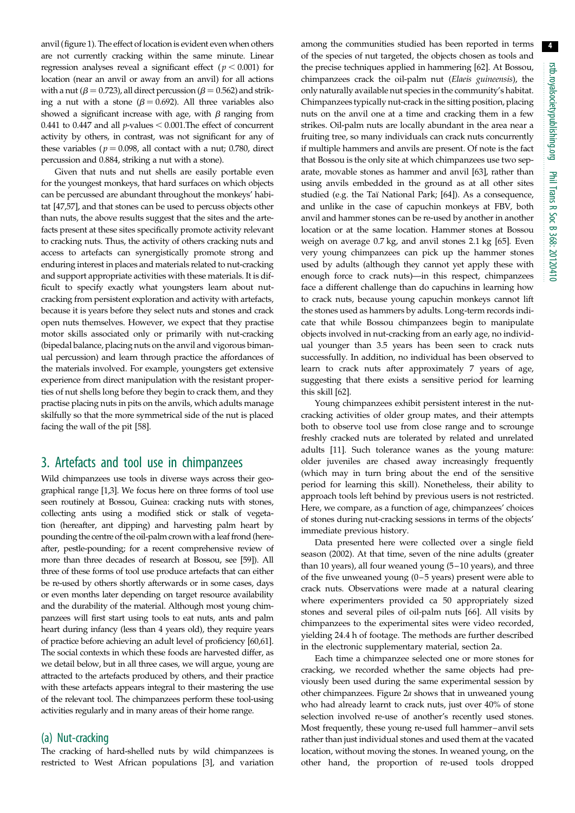anvil [\(figure 1\)](#page-2-0). The effect of location is evident even when others are not currently cracking within the same minute. Linear regression analyses reveal a significant effect ( $p < 0.001$ ) for location (near an anvil or away from an anvil) for all actions with a nut ( $\beta = 0.723$ ), all direct percussion ( $\beta = 0.562$ ) and striking a nut with a stone ( $\beta$  = 0.692). All three variables also showed a significant increase with age, with  $\beta$  ranging from 0.441 to 0.447 and all  $p$ -values  $<$  0.001. The effect of concurrent activity by others, in contrast, was not significant for any of these variables ( $p = 0.098$ , all contact with a nut; 0.780, direct percussion and 0.884, striking a nut with a stone).

Given that nuts and nut shells are easily portable even for the youngest monkeys, that hard surfaces on which objects can be percussed are abundant throughout the monkeys' habitat [\[47,57\]](#page-8-0), and that stones can be used to percuss objects other than nuts, the above results suggest that the sites and the artefacts present at these sites specifically promote activity relevant to cracking nuts. Thus, the activity of others cracking nuts and access to artefacts can synergistically promote strong and enduring interest in places and materials related to nut-cracking and support appropriate activities with these materials. It is difficult to specify exactly what youngsters learn about nutcracking from persistent exploration and activity with artefacts, because it is years before they select nuts and stones and crack open nuts themselves. However, we expect that they practise motor skills associated only or primarily with nut-cracking (bipedal balance, placing nuts on the anvil and vigorous bimanual percussion) and learn through practice the affordances of the materials involved. For example, youngsters get extensive experience from direct manipulation with the resistant properties of nut shells long before they begin to crack them, and they practise placing nuts in pits on the anvils, which adults manage skilfully so that the more symmetrical side of the nut is placed facing the wall of the pit [[58](#page-9-0)].

# 3. Artefacts and tool use in chimpanzees

Wild chimpanzees use tools in diverse ways across their geographical range [[1,3](#page-7-0)]. We focus here on three forms of tool use seen routinely at Bossou, Guinea: cracking nuts with stones, collecting ants using a modified stick or stalk of vegetation (hereafter, ant dipping) and harvesting palm heart by pounding the centre of the oil-palm crown with a leaf frond (hereafter, pestle-pounding; for a recent comprehensive review of more than three decades of research at Bossou, see [[59](#page-9-0)]). All three of these forms of tool use produce artefacts that can either be re-used by others shortly afterwards or in some cases, days or even months later depending on target resource availability and the durability of the material. Although most young chimpanzees will first start using tools to eat nuts, ants and palm heart during infancy (less than 4 years old), they require years of practice before achieving an adult level of proficiency [\[60,61](#page-9-0)]. The social contexts in which these foods are harvested differ, as we detail below, but in all three cases, we will argue, young are attracted to the artefacts produced by others, and their practice with these artefacts appears integral to their mastering the use of the relevant tool. The chimpanzees perform these tool-using activities regularly and in many areas of their home range.

### (a) Nut-cracking

The cracking of hard-shelled nuts by wild chimpanzees is restricted to West African populations [[3](#page-7-0)], and variation among the communities studied has been reported in terms of the species of nut targeted, the objects chosen as tools and the precise techniques applied in hammering [[62\]](#page-9-0). At Bossou, chimpanzees crack the oil-palm nut (Elaeis guineensis), the only naturally available nut species in the community's habitat. Chimpanzees typically nut-crack in the sitting position, placing nuts on the anvil one at a time and cracking them in a few strikes. Oil-palm nuts are locally abundant in the area near a fruiting tree, so many individuals can crack nuts concurrently if multiple hammers and anvils are present. Of note is the fact that Bossou is the only site at which chimpanzees use two separate, movable stones as hammer and anvil [[63\]](#page-9-0), rather than using anvils embedded in the ground as at all other sites studied (e.g. the Ta¨ı National Park; [\[64](#page-9-0)]). As a consequence, and unlike in the case of capuchin monkeys at FBV, both anvil and hammer stones can be re-used by another in another location or at the same location. Hammer stones at Bossou weigh on average 0.7 kg, and anvil stones 2.1 kg [[65](#page-9-0)]. Even very young chimpanzees can pick up the hammer stones used by adults (although they cannot yet apply these with enough force to crack nuts)—in this respect, chimpanzees face a different challenge than do capuchins in learning how to crack nuts, because young capuchin monkeys cannot lift the stones used as hammers by adults. Long-term records indicate that while Bossou chimpanzees begin to manipulate objects involved in nut-cracking from an early age, no individual younger than 3.5 years has been seen to crack nuts successfully. In addition, no individual has been observed to learn to crack nuts after approximately 7 years of age, suggesting that there exists a sensitive period for learning this skill [[62\]](#page-9-0).

Young chimpanzees exhibit persistent interest in the nutcracking activities of older group mates, and their attempts both to observe tool use from close range and to scrounge freshly cracked nuts are tolerated by related and unrelated adults [[11\]](#page-8-0). Such tolerance wanes as the young mature: older juveniles are chased away increasingly frequently (which may in turn bring about the end of the sensitive period for learning this skill). Nonetheless, their ability to approach tools left behind by previous users is not restricted. Here, we compare, as a function of age, chimpanzees' choices of stones during nut-cracking sessions in terms of the objects' immediate previous history.

Data presented here were collected over a single field season (2002). At that time, seven of the nine adults (greater than 10 years), all four weaned young (5–10 years), and three of the five unweaned young  $(0-5 \text{ years})$  present were able to crack nuts. Observations were made at a natural clearing where experimenters provided ca 50 appropriately sized stones and several piles of oil-palm nuts [[66\]](#page-9-0). All visits by chimpanzees to the experimental sites were video recorded, yielding 24.4 h of footage. The methods are further described in the electronic supplementary material, section 2a.

Each time a chimpanzee selected one or more stones for cracking, we recorded whether the same objects had previously been used during the same experimental session by other chimpanzees. [Figure 2](#page-4-0)a shows that in unweaned young who had already learnt to crack nuts, just over 40% of stone selection involved re-use of another's recently used stones. Most frequently, these young re-used full hammer–anvil sets rather than just individual stones and used them at the vacated location, without moving the stones. In weaned young, on the other hand, the proportion of re-used tools dropped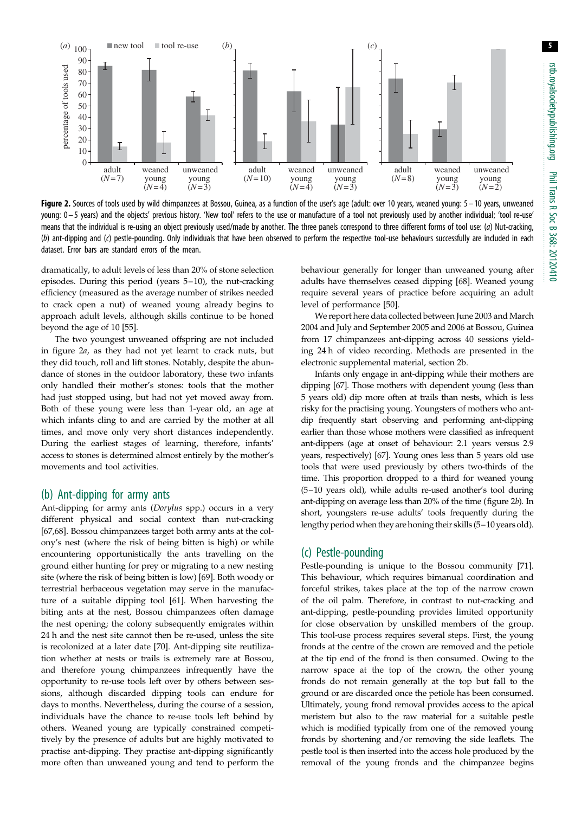<span id="page-4-0"></span>

Figure 2. Sources of tools used by wild chimpanzees at Bossou, Guinea, as a function of the user's age (adult: over 10 years, weaned young: 5 - 10 years, unweaned young: 0 – 5 years) and the objects' previous history. 'New tool' refers to the use or manufacture of a tool not previously used by another individual; 'tool re-use' means that the individual is re-using an object previously used/made by another. The three panels correspond to three different forms of tool use: (a) Nut-cracking, (b) ant-dipping and (c) pestle-pounding. Only individuals that have been observed to perform the respective tool-use behaviours successfully are included in each dataset. Error bars are standard errors of the mean.

dramatically, to adult levels of less than 20% of stone selection episodes. During this period (years 5–10), the nut-cracking efficiency (measured as the average number of strikes needed to crack open a nut) of weaned young already begins to approach adult levels, although skills continue to be honed beyond the age of 10 [\[55](#page-8-0)].

The two youngest unweaned offspring are not included in figure 2a, as they had not yet learnt to crack nuts, but they did touch, roll and lift stones. Notably, despite the abundance of stones in the outdoor laboratory, these two infants only handled their mother's stones: tools that the mother had just stopped using, but had not yet moved away from. Both of these young were less than 1-year old, an age at which infants cling to and are carried by the mother at all times, and move only very short distances independently. During the earliest stages of learning, therefore, infants' access to stones is determined almost entirely by the mother's movements and tool activities.

#### (b) Ant-dipping for army ants

Ant-dipping for army ants (Dorylus spp.) occurs in a very different physical and social context than nut-cracking [\[67](#page-9-0),[68\]](#page-9-0). Bossou chimpanzees target both army ants at the colony's nest (where the risk of being bitten is high) or while encountering opportunistically the ants travelling on the ground either hunting for prey or migrating to a new nesting site (where the risk of being bitten is low) [[69\]](#page-9-0). Both woody or terrestrial herbaceous vegetation may serve in the manufacture of a suitable dipping tool [\[61](#page-9-0)]. When harvesting the biting ants at the nest, Bossou chimpanzees often damage the nest opening; the colony subsequently emigrates within 24 h and the nest site cannot then be re-used, unless the site is recolonized at a later date [\[70](#page-9-0)]. Ant-dipping site reutilization whether at nests or trails is extremely rare at Bossou, and therefore young chimpanzees infrequently have the opportunity to re-use tools left over by others between sessions, although discarded dipping tools can endure for days to months. Nevertheless, during the course of a session, individuals have the chance to re-use tools left behind by others. Weaned young are typically constrained competitively by the presence of adults but are highly motivated to practise ant-dipping. They practise ant-dipping significantly more often than unweaned young and tend to perform the behaviour generally for longer than unweaned young after adults have themselves ceased dipping [[68\]](#page-9-0). Weaned young require several years of practice before acquiring an adult level of performance [[50\]](#page-8-0).

We report here data collected between June 2003 and March 2004 and July and September 2005 and 2006 at Bossou, Guinea from 17 chimpanzees ant-dipping across 40 sessions yielding 24 h of video recording. Methods are presented in the electronic supplemental material, section 2b.

Infants only engage in ant-dipping while their mothers are dipping [\[67\]](#page-9-0). Those mothers with dependent young (less than 5 years old) dip more often at trails than nests, which is less risky for the practising young. Youngsters of mothers who antdip frequently start observing and performing ant-dipping earlier than those whose mothers were classified as infrequent ant-dippers (age at onset of behaviour: 2.1 years versus 2.9 years, respectively) [[67](#page-9-0)]. Young ones less than 5 years old use tools that were used previously by others two-thirds of the time. This proportion dropped to a third for weaned young (5–10 years old), while adults re-used another's tool during ant-dipping on average less than 20% of the time (figure 2b). In short, youngsters re-use adults' tools frequently during the lengthy periodwhen they are honing their skills (5–10 years old).

#### (c) Pestle-pounding

Pestle-pounding is unique to the Bossou community [[71\]](#page-9-0). This behaviour, which requires bimanual coordination and forceful strikes, takes place at the top of the narrow crown of the oil palm. Therefore, in contrast to nut-cracking and ant-dipping, pestle-pounding provides limited opportunity for close observation by unskilled members of the group. This tool-use process requires several steps. First, the young fronds at the centre of the crown are removed and the petiole at the tip end of the frond is then consumed. Owing to the narrow space at the top of the crown, the other young fronds do not remain generally at the top but fall to the ground or are discarded once the petiole has been consumed. Ultimately, young frond removal provides access to the apical meristem but also to the raw material for a suitable pestle which is modified typically from one of the removed young fronds by shortening and/or removing the side leaflets. The pestle tool is then inserted into the access hole produced by the removal of the young fronds and the chimpanzee begins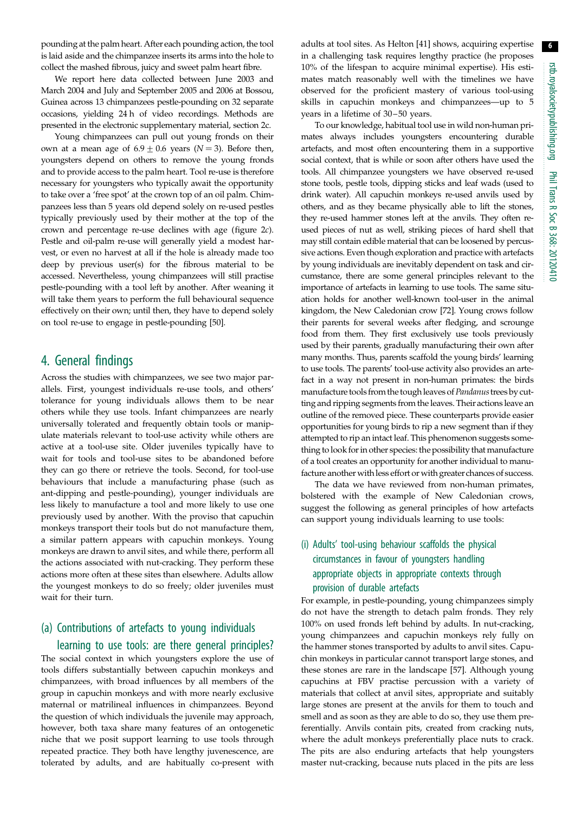pounding at the palm heart. After each pounding action, the tool is laid aside and the chimpanzee inserts its arms into the hole to collect the mashed fibrous, juicy and sweet palm heart fibre.

We report here data collected between June 2003 and March 2004 and July and September 2005 and 2006 at Bossou, Guinea across 13 chimpanzees pestle-pounding on 32 separate occasions, yielding 24 h of video recordings. Methods are presented in the electronic supplementary material, section 2c.

Young chimpanzees can pull out young fronds on their own at a mean age of  $6.9 \pm 0.6$  years (N = 3). Before then, youngsters depend on others to remove the young fronds and to provide access to the palm heart. Tool re-use is therefore necessary for youngsters who typically await the opportunity to take over a 'free spot' at the crown top of an oil palm. Chimpanzees less than 5 years old depend solely on re-used pestles typically previously used by their mother at the top of the crown and percentage re-use declines with age ([figure 2](#page-4-0)c). Pestle and oil-palm re-use will generally yield a modest harvest, or even no harvest at all if the hole is already made too deep by previous user(s) for the fibrous material to be accessed. Nevertheless, young chimpanzees will still practise pestle-pounding with a tool left by another. After weaning it will take them years to perform the full behavioural sequence effectively on their own; until then, they have to depend solely on tool re-use to engage in pestle-pounding [[50\]](#page-8-0).

# 4. General findings

Across the studies with chimpanzees, we see two major parallels. First, youngest individuals re-use tools, and others' tolerance for young individuals allows them to be near others while they use tools. Infant chimpanzees are nearly universally tolerated and frequently obtain tools or manipulate materials relevant to tool-use activity while others are active at a tool-use site. Older juveniles typically have to wait for tools and tool-use sites to be abandoned before they can go there or retrieve the tools. Second, for tool-use behaviours that include a manufacturing phase (such as ant-dipping and pestle-pounding), younger individuals are less likely to manufacture a tool and more likely to use one previously used by another. With the proviso that capuchin monkeys transport their tools but do not manufacture them, a similar pattern appears with capuchin monkeys. Young monkeys are drawn to anvil sites, and while there, perform all the actions associated with nut-cracking. They perform these actions more often at these sites than elsewhere. Adults allow the youngest monkeys to do so freely; older juveniles must wait for their turn.

# (a) Contributions of artefacts to young individuals learning to use tools: are there general principles?

The social context in which youngsters explore the use of tools differs substantially between capuchin monkeys and chimpanzees, with broad influences by all members of the group in capuchin monkeys and with more nearly exclusive maternal or matrilineal influences in chimpanzees. Beyond the question of which individuals the juvenile may approach, however, both taxa share many features of an ontogenetic niche that we posit support learning to use tools through repeated practice. They both have lengthy juvenescence, are tolerated by adults, and are habitually co-present with adults at tool sites. As Helton [[41\]](#page-8-0) shows, acquiring expertise in a challenging task requires lengthy practice (he proposes 10% of the lifespan to acquire minimal expertise). His estimates match reasonably well with the timelines we have observed for the proficient mastery of various tool-using skills in capuchin monkeys and chimpanzees—up to 5 years in a lifetime of 30-50 years.

To our knowledge, habitual tool use in wild non-human primates always includes youngsters encountering durable artefacts, and most often encountering them in a supportive social context, that is while or soon after others have used the tools. All chimpanzee youngsters we have observed re-used stone tools, pestle tools, dipping sticks and leaf wads (used to drink water). All capuchin monkeys re-used anvils used by others, and as they became physically able to lift the stones, they re-used hammer stones left at the anvils. They often reused pieces of nut as well, striking pieces of hard shell that may still contain edible material that can be loosened by percussive actions. Even though exploration and practice with artefacts by young individuals are inevitably dependent on task and circumstance, there are some general principles relevant to the importance of artefacts in learning to use tools. The same situation holds for another well-known tool-user in the animal kingdom, the New Caledonian crow [[72](#page-9-0)]. Young crows follow their parents for several weeks after fledging, and scrounge food from them. They first exclusively use tools previously used by their parents, gradually manufacturing their own after many months. Thus, parents scaffold the young birds' learning to use tools. The parents' tool-use activity also provides an artefact in a way not present in non-human primates: the birds manufacture tools from the tough leaves of Pandanus trees by cutting and ripping segments from the leaves. Their actions leave an outline of the removed piece. These counterparts provide easier opportunities for young birds to rip a new segment than if they attempted to rip an intact leaf. This phenomenon suggests something to look for in other species: the possibility that manufacture of a tool creates an opportunity for another individual to manufacture another with less effort or with greater chances of success.

The data we have reviewed from non-human primates, bolstered with the example of New Caledonian crows, suggest the following as general principles of how artefacts can support young individuals learning to use tools:

## (i) Adults' tool-using behaviour scaffolds the physical circumstances in favour of youngsters handling appropriate objects in appropriate contexts through provision of durable artefacts

For example, in pestle-pounding, young chimpanzees simply do not have the strength to detach palm fronds. They rely 100% on used fronds left behind by adults. In nut-cracking, young chimpanzees and capuchin monkeys rely fully on the hammer stones transported by adults to anvil sites. Capuchin monkeys in particular cannot transport large stones, and these stones are rare in the landscape [\[57](#page-8-0)]. Although young capuchins at FBV practise percussion with a variety of materials that collect at anvil sites, appropriate and suitably large stones are present at the anvils for them to touch and smell and as soon as they are able to do so, they use them preferentially. Anvils contain pits, created from cracking nuts, where the adult monkeys preferentially place nuts to crack. The pits are also enduring artefacts that help youngsters master nut-cracking, because nuts placed in the pits are less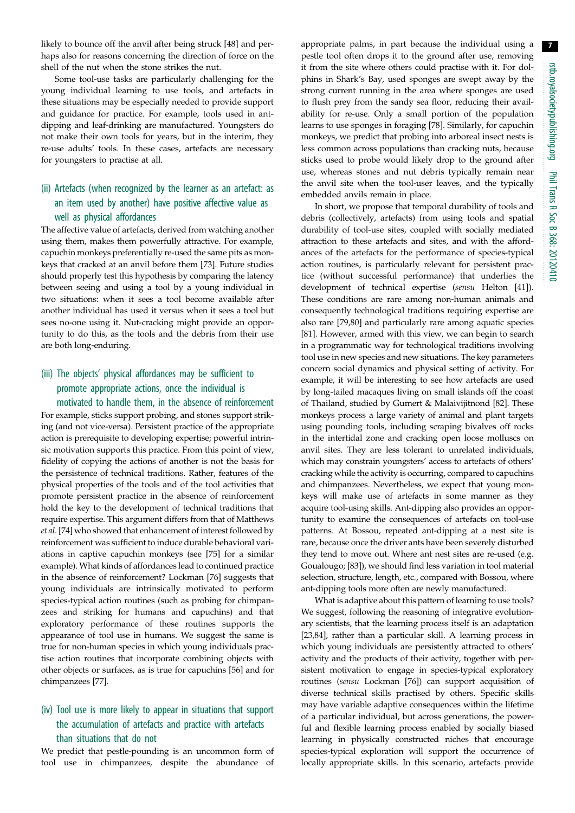likely to bounce off the anvil after being struck [[48\]](#page-8-0) and perhaps also for reasons concerning the direction of force on the shell of the nut when the stone strikes the nut.

Some tool-use tasks are particularly challenging for the young individual learning to use tools, and artefacts in these situations may be especially needed to provide support and guidance for practice. For example, tools used in antdipping and leaf-drinking are manufactured. Youngsters do not make their own tools for years, but in the interim, they re-use adults' tools. In these cases, artefacts are necessary for youngsters to practise at all.

## (ii) Artefacts (when recognized by the learner as an artefact: as an item used by another) have positive affective value as well as physical affordances

The affective value of artefacts, derived from watching another using them, makes them powerfully attractive. For example, capuchin monkeys preferentially re-used the same pits as monkeys that cracked at an anvil before them [[73\]](#page-9-0). Future studies should properly test this hypothesis by comparing the latency between seeing and using a tool by a young individual in two situations: when it sees a tool become available after another individual has used it versus when it sees a tool but sees no-one using it. Nut-cracking might provide an opportunity to do this, as the tools and the debris from their use are both long-enduring.

# (iii) The objects' physical affordances may be sufficient to promote appropriate actions, once the individual is

motivated to handle them, in the absence of reinforcement For example, sticks support probing, and stones support striking (and not vice-versa). Persistent practice of the appropriate action is prerequisite to developing expertise; powerful intrinsic motivation supports this practice. From this point of view, fidelity of copying the actions of another is not the basis for the persistence of technical traditions. Rather, features of the physical properties of the tools and of the tool activities that promote persistent practice in the absence of reinforcement hold the key to the development of technical traditions that require expertise. This argument differs from that of Matthews et al. [\[74](#page-9-0)] who showed that enhancement of interest followed by reinforcement was sufficient to induce durable behavioral variations in captive capuchin monkeys (see [\[75](#page-9-0)] for a similar example). What kinds of affordances lead to continued practice in the absence of reinforcement? Lockman [\[76](#page-9-0)] suggests that young individuals are intrinsically motivated to perform species-typical action routines (such as probing for chimpanzees and striking for humans and capuchins) and that exploratory performance of these routines supports the appearance of tool use in humans. We suggest the same is true for non-human species in which young individuals practise action routines that incorporate combining objects with other objects or surfaces, as is true for capuchins [[56\]](#page-8-0) and for chimpanzees [[77](#page-9-0)].

### (iv) Tool use is more likely to appear in situations that support the accumulation of artefacts and practice with artefacts than situations that do not

We predict that pestle-pounding is an uncommon form of tool use in chimpanzees, despite the abundance of

appropriate palms, in part because the individual using a pestle tool often drops it to the ground after use, removing it from the site where others could practise with it. For dolphins in Shark's Bay, used sponges are swept away by the strong current running in the area where sponges are used to flush prey from the sandy sea floor, reducing their availability for re-use. Only a small portion of the population learns to use sponges in foraging [[78\]](#page-9-0). Similarly, for capuchin monkeys, we predict that probing into arboreal insect nests is less common across populations than cracking nuts, because sticks used to probe would likely drop to the ground after use, whereas stones and nut debris typically remain near the anvil site when the tool-user leaves, and the typically embedded anvils remain in place.

In short, we propose that temporal durability of tools and debris (collectively, artefacts) from using tools and spatial durability of tool-use sites, coupled with socially mediated attraction to these artefacts and sites, and with the affordances of the artefacts for the performance of species-typical action routines, is particularly relevant for persistent practice (without successful performance) that underlies the development of technical expertise (sensu Helton [[41\]](#page-8-0)). These conditions are rare among non-human animals and consequently technological traditions requiring expertise are also rare [[79,80\]](#page-9-0) and particularly rare among aquatic species [[81\]](#page-9-0). However, armed with this view, we can begin to search in a programmatic way for technological traditions involving tool use in new species and new situations. The key parameters concern social dynamics and physical setting of activity. For example, it will be interesting to see how artefacts are used by long-tailed macaques living on small islands off the coast of Thailand, studied by Gumert & Malaivijitnond [\[82](#page-9-0)]. These monkeys process a large variety of animal and plant targets using pounding tools, including scraping bivalves off rocks in the intertidal zone and cracking open loose molluscs on anvil sites. They are less tolerant to unrelated individuals, which may constrain youngsters' access to artefacts of others' cracking while the activity is occurring, compared to capuchins and chimpanzees. Nevertheless, we expect that young monkeys will make use of artefacts in some manner as they acquire tool-using skills. Ant-dipping also provides an opportunity to examine the consequences of artefacts on tool-use patterns. At Bossou, repeated ant-dipping at a nest site is rare, because once the driver ants have been severely disturbed they tend to move out. Where ant nest sites are re-used (e.g. Goualougo; [[83](#page-9-0)]), we should find less variation in tool material selection, structure, length, etc., compared with Bossou, where ant-dipping tools more often are newly manufactured.

What is adaptive about this pattern of learning to use tools? We suggest, following the reasoning of integrative evolutionary scientists, that the learning process itself is an adaptation [[23,](#page-8-0)[84\]](#page-9-0), rather than a particular skill. A learning process in which young individuals are persistently attracted to others' activity and the products of their activity, together with persistent motivation to engage in species-typical exploratory routines (sensu Lockman [\[76](#page-9-0)]) can support acquisition of diverse technical skills practised by others. Specific skills may have variable adaptive consequences within the lifetime of a particular individual, but across generations, the powerful and flexible learning process enabled by socially biased learning in physically constructed niches that encourage species-typical exploration will support the occurrence of locally appropriate skills. In this scenario, artefacts provide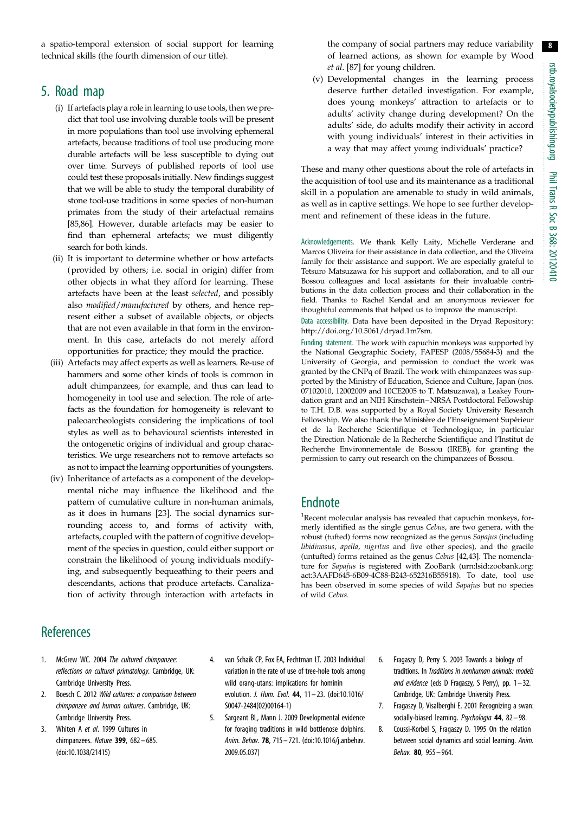<span id="page-7-0"></span>a spatio-temporal extension of social support for learning technical skills (the fourth dimension of our title).

# 5. Road map

- (i) If artefacts play a role in learning to use tools, then we predict that tool use involving durable tools will be present in more populations than tool use involving ephemeral artefacts, because traditions of tool use producing more durable artefacts will be less susceptible to dying out over time. Surveys of published reports of tool use could test these proposals initially. New findings suggest that we will be able to study the temporal durability of stone tool-use traditions in some species of non-human primates from the study of their artefactual remains [[85](#page-9-0),[86](#page-9-0)]. However, durable artefacts may be easier to find than ephemeral artefacts; we must diligently search for both kinds.
- (ii) It is important to determine whether or how artefacts (provided by others; i.e. social in origin) differ from other objects in what they afford for learning. These artefacts have been at the least selected, and possibly also modified/manufactured by others, and hence represent either a subset of available objects, or objects that are not even available in that form in the environment. In this case, artefacts do not merely afford opportunities for practice; they mould the practice.
- (iii) Artefacts may affect experts as well as learners. Re-use of hammers and some other kinds of tools is common in adult chimpanzees, for example, and thus can lead to homogeneity in tool use and selection. The role of artefacts as the foundation for homogeneity is relevant to paleoarcheologists considering the implications of tool styles as well as to behavioural scientists interested in the ontogenetic origins of individual and group characteristics. We urge researchers not to remove artefacts so as not to impact the learning opportunities of youngsters.
- (iv) Inheritance of artefacts as a component of the developmental niche may influence the likelihood and the pattern of cumulative culture in non-human animals, as it does in humans [[23\]](#page-8-0). The social dynamics surrounding access to, and forms of activity with, artefacts, coupled with the pattern of cognitive development of the species in question, could either support or constrain the likelihood of young individuals modifying, and subsequently bequeathing to their peers and descendants, actions that produce artefacts. Canalization of activity through interaction with artefacts in

# **References**

- 1. McGrew WC. 2004 The cultured chimpanzee: reflections on cultural primatology. Cambridge, UK: Cambridge University Press.
- 2. Boesch C. 2012 Wild cultures: a comparison between chimpanzee and human cultures. Cambridge, UK: Cambridge University Press.
- Whiten A et al. 1999 Cultures in chimpanzees. Nature 399, 682-685. [\(doi:10.1038/21415\)](http://dx.doi.org/10.1038/21415)
- 4. van Schaik CP, Fox EA, Fechtman LT. 2003 Individual variation in the rate of use of tree-hole tools among wild orang-utans: implications for hominin evolution. J. Hum. Evol. 44, 11– 23. ([doi:10.1016/](http://dx.doi.org/10.1016/S0047-2484(02)00164-1) [S0047-2484\(02\)00164-1](http://dx.doi.org/10.1016/S0047-2484(02)00164-1))
- 5. Sargeant BL, Mann J. 2009 Developmental evidence for foraging traditions in wild bottlenose dolphins. Anim. Behav. 78, 715– 721. [\(doi:10.1016/j.anbehav.](http://dx.doi.org/10.1016/j.anbehav.2009.05.037) [2009.05.037\)](http://dx.doi.org/10.1016/j.anbehav.2009.05.037)

the company of social partners may reduce variability of learned actions, as shown for example by Wood et al. [[87\]](#page-9-0) for young children.

(v) Developmental changes in the learning process deserve further detailed investigation. For example, does young monkeys' attraction to artefacts or to adults' activity change during development? On the adults' side, do adults modify their activity in accord with young individuals' interest in their activities in a way that may affect young individuals' practice?

These and many other questions about the role of artefacts in the acquisition of tool use and its maintenance as a traditional skill in a population are amenable to study in wild animals, as well as in captive settings. We hope to see further development and refinement of these ideas in the future.

Acknowledgements. We thank Kelly Laity, Michelle Verderane and Marcos Oliveira for their assistance in data collection, and the Oliveira family for their assistance and support. We are especially grateful to Tetsuro Matsuzawa for his support and collaboration, and to all our Bossou colleagues and local assistants for their invaluable contributions in the data collection process and their collaboration in the field. Thanks to Rachel Kendal and an anonymous reviewer for thoughtful comments that helped us to improve the manuscript.

Data accessibility. Data have been deposited in the Dryad Repository: <http://doi.org/10.5061/dryad.1m7sm>.

Funding statement. The work with capuchin monkeys was supported by the National Geographic Society, FAPESP (2008/55684-3) and the University of Georgia, and permission to conduct the work was granted by the CNPq of Brazil. The work with chimpanzees was supported by the Ministry of Education, Science and Culture, Japan (nos. 07102010, 12002009 and 10CE2005 to T. Matsuzawa), a Leakey Foundation grant and an NIH Kirschstein–NRSA Postdoctoral Fellowship to T.H. D.B. was supported by a Royal Society University Research Fellowship. We also thank the Ministère de l'Enseignement Supérieur et de la Recherche Scientifique et Technologique, in particular the Direction Nationale de la Recherche Scientifique and l'Institut de Recherche Environnementale de Bossou (IREB), for granting the permission to carry out research on the chimpanzees of Bossou.

# **Endnote**

<sup>1</sup>Recent molecular analysis has revealed that capuchin monkeys, formerly identified as the single genus Cebus, are two genera, with the robust (tufted) forms now recognized as the genus Sapajus (including libidinosus, apella, nigritus and five other species), and the gracile (untufted) forms retained as the genus Cebus [\[42,43](#page-8-0)]. The nomenclature for Sapajus is registered with ZooBank (urn:lsid:zoobank.org: act:3AAFD645-6B09-4C88-B243-652316B55918). To date, tool use has been observed in some species of wild Sapajus but no species of wild Cebus.

- 6. Fragaszy D, Perry S. 2003 Towards a biology of traditions. In Traditions in nonhuman animals: models and evidence (eds D Fragaszy, S Perry), pp. 1–32. Cambridge, UK: Cambridge University Press.
- 7. Fragaszy D, Visalberghi E. 2001 Recognizing a swan: socially-biased learning. Psychologia 44, 82-98.
- 8. Coussi-Korbel S, Fragaszy D. 1995 On the relation between social dynamics and social learning. Anim. Behav. 80, 955– 964.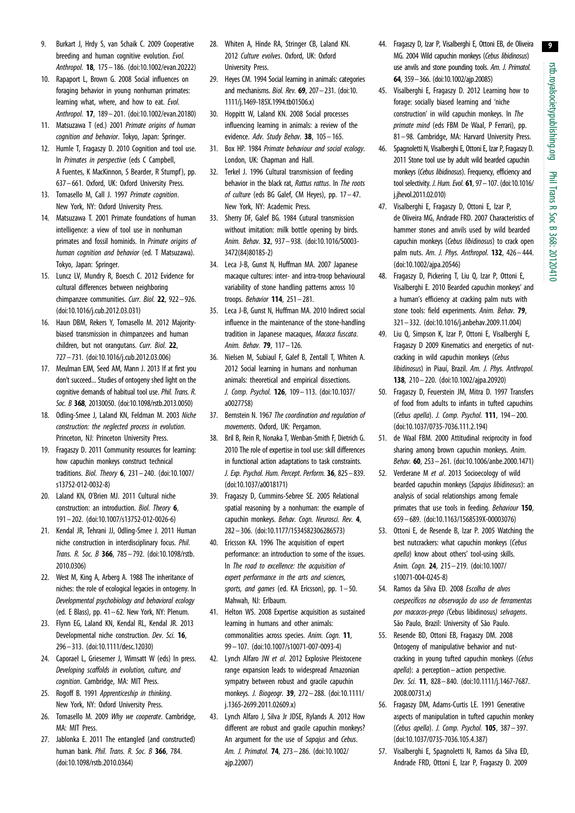- <span id="page-8-0"></span>9. Burkart J, Hrdy S, van Schaik C. 2009 Cooperative breeding and human cognitive evolution. Evol. Anthropol. 18, 175 – 186. ([doi:10.1002/evan.20222\)](http://dx.doi.org/10.1002/evan.20222)
- 10. Rapaport L, Brown G. 2008 Social influences on foraging behavior in young nonhuman primates: learning what, where, and how to eat. Evol. Anthropol. 17, 189 – 201. ([doi:10.1002/evan.20180\)](http://dx.doi.org/10.1002/evan.20180)
- 11. Matsuzawa T (ed.) 2001 Primate origins of human cognition and behavior. Tokyo, Japan: Springer.
- 12. Humle T, Fragaszy D. 2010 Cognition and tool use. In Primates in perspective (eds C Campbell, A Fuentes, K MacKinnon, S Bearder, R Stumpf), pp. 637– 661. Oxford, UK: Oxford University Press.
- 13. Tomasello M, Call J. 1997 Primate cognition. New York, NY: Oxford University Press.
- 14. Matsuzawa T. 2001 Primate foundations of human intelligence: a view of tool use in nonhuman primates and fossil hominids. In Primate origins of human cognition and behavior (ed. T Matsuzawa). Tokyo, Japan: Springer.
- 15. Luncz LV, Mundry R, Boesch C. 2012 Evidence for cultural differences between neighboring chimpanzee communities. Curr. Biol. 22, 922– 926. [\(doi:10.1016/j.cub.2012.03.031](http://dx.doi.org/10.1016/j.cub.2012.03.031))
- 16. Haun DBM, Rekers Y, Tomasello M. 2012 Majoritybiased transmission in chimpanzees and human children, but not orangutans. Curr. Biol. 22, 727– 731. ([doi:10.1016/j.cub.2012.03.006\)](http://dx.doi.org/10.1016/j.cub.2012.03.006)
- 17. Meulman EJM, Seed AM, Mann J. 2013 If at first you don't succeed... Studies of ontogeny shed light on the cognitive demands of habitual tool use. Phil. Trans. R. Soc. B 368, 20130050. [\(doi:10.1098/rstb.2013.0050](http://dx.doi.org/10.1098/rstb.2013.0050))
- 18. Odling-Smee J, Laland KN, Feldman M. 2003 Niche construction: the neglected process in evolution. Princeton, NJ: Princeton University Press.
- 19. Fragaszy D. 2011 Community resources for learning: how capuchin monkeys construct technical traditions. Biol. Theory 6, 231– 240. [\(doi:10.1007/](http://dx.doi.org/10.1007/s13752-012-0032-8) [s13752-012-0032-8\)](http://dx.doi.org/10.1007/s13752-012-0032-8)
- 20. Laland KN, O'Brien MJ. 2011 Cultural niche construction: an introduction. Biol. Theory 6, 191– 202. ([doi:10.1007/s13752-012-0026-6\)](http://dx.doi.org/10.1007/s13752-012-0026-6)
- 21. Kendal JR, Tehrani JJ, Odling-Smee J. 2011 Human niche construction in interdisciplinary focus. Phil. Trans. R. Soc. B 366, 785 – 792. ([doi:10.1098/rstb.](http://dx.doi.org/10.1098/rstb.2010.0306) [2010.0306\)](http://dx.doi.org/10.1098/rstb.2010.0306)
- 22. West M, King A, Arberg A. 1988 The inheritance of niches: the role of ecological legacies in ontogeny. In Developmental psychobiology and behavioral ecology (ed. E Blass), pp. 41– 62. New York, NY: Plenum.
- 23. Flynn EG, Laland KN, Kendal RL, Kendal JR. 2013 Developmental niche construction. Dev. Sci. 16, 296– 313. ([doi:10.1111/desc.12030\)](http://dx.doi.org/10.1111/desc.12030)
- 24. Caporael L, Griesemer J, Wimsatt W (eds) In press. Developing scaffolds in evolution, culture, and cognition. Cambridge, MA: MIT Press.
- 25. Rogoff B. 1991 Apprenticeship in thinking. New York, NY: Oxford University Press.
- 26. Tomasello M. 2009 Why we cooperate. Cambridge, MA: MIT Press.
- 27. Jablonka E. 2011 The entangled (and constructed) human bank. Phil. Trans. R. Soc. B 366, 784. [\(doi:10.1098/rstb.2010.0364\)](http://dx.doi.org/10.1098/rstb.2010.0364)
- 28. Whiten A, Hinde RA, Stringer CB, Laland KN. 2012 Culture evolves. Oxford, UK: Oxford University Press.
- 29. Heyes CM. 1994 Social learning in animals: categories and mechanisms. Biol. Rev. 69, 207–231. [\(doi:10.](http://dx.doi.org/10.1111/j.1469-185X.1994.tb01506.x) [1111/j.1469-185X.1994.tb01506.x](http://dx.doi.org/10.1111/j.1469-185X.1994.tb01506.x))
- 30. Hoppitt W, Laland KN. 2008 Social processes influencing learning in animals: a review of the evidence. Adv. Study Behav. 38, 105-165.
- 31. Box HP. 1984 Primate behaviour and social ecology. London, UK: Chapman and Hall.
- 32. Terkel J. 1996 Cultural transmission of feeding behavior in the black rat, Rattus rattus. In The roots of culture (eds BG Galef, CM Heyes), pp. 17 – 47. New York, NY: Academic Press.
- 33. Sherry DF, Galef BG. 1984 Cutural transmission without imitation: milk bottle opening by birds. Anim. Behav. 32, 937– 938. [\(doi:10.1016/S0003-](http://dx.doi.org/10.1016/S0003-3472(84)80185-2) [3472\(84\)80185-2](http://dx.doi.org/10.1016/S0003-3472(84)80185-2))
- 34. Leca J-B, Gunst N, Huffman MA. 2007 Japanese macaque cultures: inter- and intra-troop behavioural variability of stone handling patterns across 10 troops. Behavior 114, 251– 281.
- 35. Leca J-B, Gunst N, Huffman MA. 2010 Indirect social influence in the maintenance of the stone-handling tradition in Japanese macaques, Macaca fuscata. Anim. Behav. 79, 117– 126.
- 36. Nielsen M, Subiaul F, Galef B, Zentall T, Whiten A. 2012 Social learning in humans and nonhuman animals: theoretical and empirical dissections. J. Comp. Psychol. 126, 109– 113. [\(doi:10.1037/](http://dx.doi.org/10.1037/a0027758) [a0027758\)](http://dx.doi.org/10.1037/a0027758)
- 37. Bernstein N. 1967 The coordination and regulation of movements. Oxford, UK: Pergamon.
- 38. Bril B, Rein R, Nonaka T, Wenban-Smith F, Dietrich G. 2010 The role of expertise in tool use: skill differences in functional action adaptations to task constraints. J. Exp. Psychol. Hum. Percept. Perform. 36, 825– 839. [\(doi:10.1037/a0018171\)](http://dx.doi.org/10.1037/a0018171)
- 39. Fragaszy D, Cummins-Sebree SE. 2005 Relational spatial reasoning by a nonhuman: the example of capuchin monkeys. Behav. Cogn. Neurosci. Rev. 4, 282 – 306. [\(doi:10.1177/1534582306286573\)](http://dx.doi.org/10.1177/1534582306286573)
- 40. Ericsson KA. 1996 The acquisition of expert performance: an introduction to some of the issues. In The road to excellence: the acquisition of expert performance in the arts and sciences, sports, and games (ed. KA Ericsson), pp. 1-50. Mahwah, NJ: Erlbaum.
- 41. Helton WS. 2008 Expertise acquisition as sustained learning in humans and other animals: commonalities across species. Anim. Cogn. 11, 99 – 107. ([doi:10.1007/s10071-007-0093-4](http://dx.doi.org/10.1007/s10071-007-0093-4))
- 42. Lynch Alfaro JW et al. 2012 Explosive Pleistocene range expansion leads to widespread Amazonian sympatry between robust and gracile capuchin monkeys. J. Biogeogr. 39, 272– 288. [\(doi:10.1111/](http://dx.doi.org/10.1111/j.1365-2699.2011.02609.x) [j.1365-2699.2011.02609.x](http://dx.doi.org/10.1111/j.1365-2699.2011.02609.x))
- 43. Lynch Alfaro J, Silva Jr JDSE, Rylands A. 2012 How different are robust and gracile capuchin monkeys? An argument for the use of Sapajus and Cebus. Am. J. Primatol. 74, 273– 286. ([doi:10.1002/](http://dx.doi.org/10.1002/ajp.22007) [ajp.22007\)](http://dx.doi.org/10.1002/ajp.22007)
- 44. Fragaszy D, Izar P, Visalberghi E, Ottoni EB, de Oliveira MG. 2004 Wild capuchin monkeys (Cebus libidinosus) use anvils and stone pounding tools. Am. J. Primatol. 64, 359–366. [\(doi:10.1002/ajp.20085](http://dx.doi.org/10.1002/ajp.20085))
- 45. Visalberghi E, Fragaszy D. 2012 Learning how to forage: socially biased learning and 'niche construction' in wild capuchin monkeys. In The primate mind (eds FBM De Waal, P Ferrari), pp. 81– 98. Cambridge, MA: Harvard University Press.
- 46. Spagnoletti N, Visalberghi E, Ottoni E, Izar P, Fragaszy D. 2011 Stone tool use by adult wild bearded capuchin monkeys (Cebus libidinosus). Frequency, efficiency and tool selectivity. J. Hum. Evol. 61, 97 - 107. [\(doi:10.1016/](http://dx.doi.org/10.1016/j.jhevol.2011.02.010) [j.jhevol.2011.02.010](http://dx.doi.org/10.1016/j.jhevol.2011.02.010))
- 47. Visalberghi E, Fragaszy D, Ottoni E, Izar P, de Oliveira MG, Andrade FRD. 2007 Characteristics of hammer stones and anvils used by wild bearded capuchin monkeys (Cebus libidinosus) to crack open palm nuts. Am. J. Phys. Anthropol. 132, 426 – 444. ([doi:10.1002/ajpa.20546\)](http://dx.doi.org/10.1002/ajpa.20546)
- 48. Fragaszy D, Pickering T, Liu Q, Izar P, Ottoni E, Visalberghi E. 2010 Bearded capuchin monkeys' and a human's efficiency at cracking palm nuts with stone tools: field experiments. Anim. Behav. 79, 321– 332. [\(doi:10.1016/j.anbehav.2009.11.004\)](http://dx.doi.org/10.1016/j.anbehav.2009.11.004)
- 49. Liu Q, Simpson K, Izar P, Ottoni E, Visalberghi E, Fragaszy D 2009 Kinematics and energetics of nutcracking in wild capuchin monkeys (Cebus libidinosus) in Piauí, Brazil. Am. J. Phys. Anthropol. 138, 210– 220. [\(doi:10.1002/ajpa.20920\)](http://dx.doi.org/10.1002/ajpa.20920)
- 50. Fragaszy D, Feuerstein JM, Mitra D. 1997 Transfers of food from adults to infants in tufted capuchins (Cebus apella). J. Comp. Psychol. 111, 194– 200. ([doi:10.1037/0735-7036.111.2.194\)](http://dx.doi.org/10.1037/0735-7036.111.2.194)
- 51. de Waal FBM. 2000 Attitudinal reciprocity in food sharing among brown capuchin monkeys. Anim. Behav. 60, 253 – 261. [\(doi:10.1006/anbe.2000.1471](http://dx.doi.org/10.1006/anbe.2000.1471))
- 52. Verderane M et al. 2013 Socioecology of wild bearded capuchin monkeys (Sapajus libidinosus): an analysis of social relationships among female primates that use tools in feeding. Behaviour 150, 659– 689. [\(doi:10.1163/1568539X-00003076](http://dx.doi.org/10.1163/1568539X-00003076))
- 53. Ottoni E, de Resende B, Izar P. 2005 Watching the best nutcrackers: what capuchin monkeys (Cebus apella) know about others' tool-using skills. Anim. Cogn. 24, 215– 219. ([doi:10.1007/](http://dx.doi.org/10.1007/s10071-004-0245-8) [s10071-004-0245-8](http://dx.doi.org/10.1007/s10071-004-0245-8))
- 54. Ramos da Silva ED. 2008 Escolha de alvos coespecíficos na observação do uso de ferramentas por macacos-prego (Cebus libidinosus) selvagens. São Paulo, Brazil: University of São Paulo.
- 55. Resende BD, Ottoni EB, Fragaszy DM. 2008 Ontogeny of manipulative behavior and nutcracking in young tufted capuchin monkeys (Cebus apella): a perception – action perspective. Dev. Sci. 11, 828– 840. ([doi:10.1111/j.1467-7687.](http://dx.doi.org/10.1111/j.1467-7687.2008.00731.x) [2008.00731.x](http://dx.doi.org/10.1111/j.1467-7687.2008.00731.x))
- 56. Fragaszy DM, Adams-Curtis LE. 1991 Generative aspects of manipulation in tufted capuchin monkey (Cebus apella). J. Comp. Psychol. 105, 387– 397. ([doi:10.1037/0735-7036.105.4.387\)](http://dx.doi.org/10.1037/0735-7036.105.4.387)
- 57. Visalberghi E, Spagnoletti N, Ramos da Silva ED, Andrade FRD, Ottoni E, Izar P, Fragaszy D. 2009